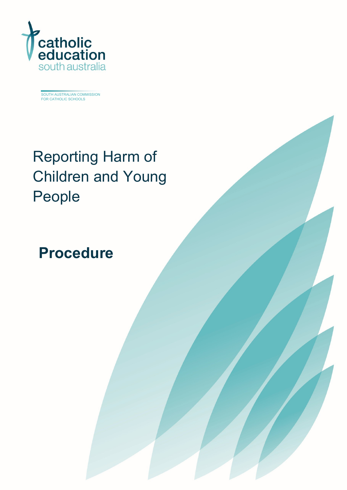

SOUTH AUSTRALIAN COMMISSION FOR CATHOLIC SCHOOLS

# Reporting Harm of Children and Young People

## **Procedure**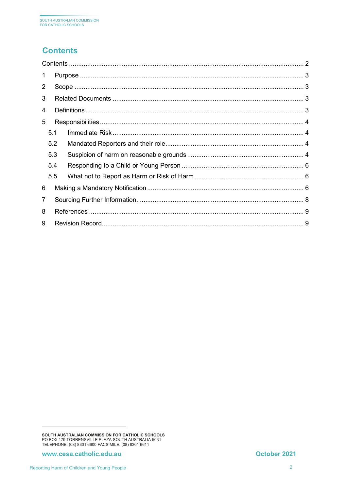## <span id="page-1-0"></span>**Contents**

| $\overline{2}$ |     |  |
|----------------|-----|--|
| 3              |     |  |
| 4              |     |  |
| 5              |     |  |
|                |     |  |
| 5.2            |     |  |
| 5.3            |     |  |
| 5.4            |     |  |
| 5.5            |     |  |
| 6              |     |  |
|                |     |  |
|                |     |  |
| 9              |     |  |
|                | 5.1 |  |

SOUTH AUSTRALIAN COMMISSION FOR CATHOLIC SCHOOLS<br>PO BOX 179 TORRENSVILLE PLAZA SOUTH AUSTRALIA 5031<br>TELEPHONE: (08) 8301 6600 FACSIMILE: (08) 8301 6611

www.cesa.catholic.edu.au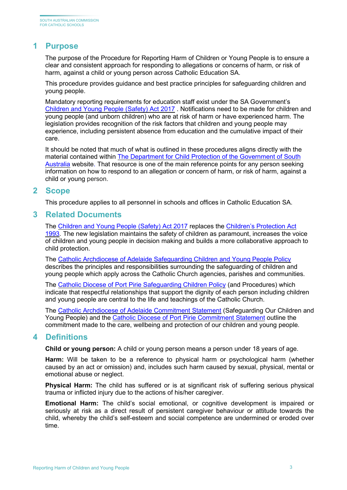## <span id="page-2-0"></span>**1 Purpose**

The purpose of the Procedure for Reporting Harm of Children or Young People is to ensure a clear and consistent approach for responding to allegations or concerns of harm, or risk of harm, against a child or young person across Catholic Education SA.

This procedure provides guidance and best practice principles for safeguarding children and young people.

Mandatory reporting requirements for education staff exist under the SA Government's [Children and Young People \(Safety\) Act 2017](https://www.legislation.sa.gov.au/LZ/C/A/Children%20and%20Young%20People%20(Safety)%20Act%202017.aspx) . Notifications need to be made for children and young people (and unborn children) who are at risk of harm or have experienced harm. The legislation provides recognition of the risk factors that children and young people may experience, including persistent absence from education and the cumulative impact of their care.

It should be noted that much of what is outlined in these procedures aligns directly with the material contained within [The Department for Child Protection of the Government of South](https://www.childprotection.sa.gov.au/reporting-child-abuse/responding-child-about-abuse-or-neglect) [Australia](https://www.childprotection.sa.gov.au/reporting-child-abuse/responding-child-about-abuse-or-neglect) website. That resource is one of the main reference points for any person seeking information on how to respond to an allegation or concern of harm, or risk of harm, against a child or young person.

#### <span id="page-2-1"></span>**2 Scope**

This procedure applies to all personnel in schools and offices in Catholic Education SA.

#### <span id="page-2-2"></span>**3 Related Documents**

The [Children and Young People \(Safety\) Act 2017](https://www.legislation.sa.gov.au/LZ/C/A/Children%20and%20Young%20People%20(Safety)%20Act%202017.aspx) replaces the [Children's Protection Act](https://www.legislation.sa.gov.au/LZ/C/A/CHILDRENS%20PROTECTION%20ACT%201993.aspx) [1993](https://www.legislation.sa.gov.au/LZ/C/A/CHILDRENS%20PROTECTION%20ACT%201993.aspx)*.* The new legislation maintains the safety of children as paramount, increases the voice of children and young people in decision making and builds a more collaborative approach to child protection.

The [Catholic Archdiocese of Adelaide Safeguarding Children and Young People Policy](https://adelaide.catholic.org.au/__files/f/36861/Safeguarding%20Children%20and%20Young%20People%20Policy%20.pdf) describes the principles and responsibilities surrounding the safeguarding of children and young people which apply across the Catholic Church agencies, parishes and communities.

The [Catholic Diocese of Port Pirie Safeguarding Children Policy](http://www.pp.catholic.org.au/__files/d/9704/CDPP%20Child%20Safeguarding%20Policy.pdf) (and Procedures) which indicate that respectful relationships that support the dignity of each person including children and young people are central to the life and teachings of the Catholic Church.

The [Catholic Archdiocese of Adelaide Commitment Statement](https://adelaide.catholic.org.au/__files/f/28071/Commitment%20Statement.pdf) (Safeguarding Our Children and Young People) and the Catholic Diocese of Port [Pirie Commitment Statement](http://www.pp.catholic.org.au/__files/d/9726/Commitment%20Statement.pdf) outline the commitment made to the care, wellbeing and protection of our children and young people.

## <span id="page-2-3"></span>**4 Definitions**

**Child or young person:** A child or young person means a person under 18 years of age.

**Harm:** Will be taken to be a reference to physical harm or psychological harm (whether caused by an act or omission) and, includes such harm caused by sexual, physical, mental or emotional abuse or neglect.

**Physical Harm:** The child has suffered or is at significant risk of suffering serious physical trauma or inflicted injury due to the actions of his/her caregiver.

**Emotional Harm:** The child's social emotional, or cognitive development is impaired or seriously at risk as a direct result of persistent caregiver behaviour or attitude towards the child, whereby the child's self-esteem and social competence are undermined or eroded over time.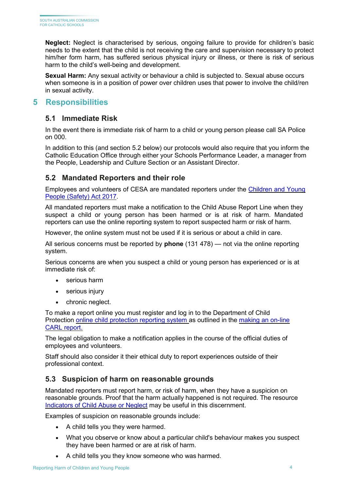**Neglect:** Neglect is characterised by serious, ongoing failure to provide for children's basic needs to the extent that the child is not receiving the care and supervision necessary to protect him/her form harm, has suffered serious physical injury or illness, or there is risk of serious harm to the child's well-being and development.

**Sexual Harm:** Any sexual activity or behaviour a child is subjected to. Sexual abuse occurs when someone is in a position of power over children uses that power to involve the child/ren in sexual activity.

## <span id="page-3-1"></span><span id="page-3-0"></span>**5 Responsibilities**

## **5.1 Immediate Risk**

In the event there is immediate risk of harm to a child or young person please call SA Police on 000.

In addition to this (and section 5.2 below) our protocols would also require that you inform the Catholic Education Office through either your Schools Performance Leader, a manager from the People, Leadership and Culture Section or an Assistant Director.

## <span id="page-3-2"></span>**5.2 Mandated Reporters and their role**

Employees and volunteers of CESA are mandated reporters under the [Children and Young](https://www.legislation.sa.gov.au/LZ/C/A/Children%20and%20Young%20People%20(Safety)%20Act%202017.aspx) [People \(Safety\) Act 2017.](https://www.legislation.sa.gov.au/LZ/C/A/Children%20and%20Young%20People%20(Safety)%20Act%202017.aspx)

All mandated reporters must make a notification to the Child Abuse Report Line when they suspect a child or young person has been harmed or is at risk of harm. [Mandated](https://edi.sa.edu.au/supporting-children/child-protection/reporting-abuse-or-neglect/mandated-reporters) [reporters c](https://edi.sa.edu.au/supporting-children/child-protection/reporting-abuse-or-neglect/mandated-reporters)an use the online reporting system to report suspected harm or risk of harm.

However, the online system must not be used if it is serious or about a child in care.

All serious concerns must be reported by **phone** (131 478) — not via the online reporting system.

Serious concerns are when you suspect a child or young person has experienced or is at immediate risk of:

- serious harm
- serious injury
- chronic neglect.

To make a report online you must register and log in to the Department of Child Protection [online child protection reporting system a](https://auth.families.sa.gov.au/nidp/idff/sso?id=FamCit&sid=0&option=credential&sid=0)s outlined in the [making an on-line](https://www.childprotection.sa.gov.au/__data/assets/pdf_file/0004/107419/online-child-abuse-reporting-system-instructions.pdf) [CARL report.](https://www.childprotection.sa.gov.au/__data/assets/pdf_file/0004/107419/online-child-abuse-reporting-system-instructions.pdf)

The legal obligation to make a notification applies in the course of the official duties of employees and volunteers.

Staff should also consider it their ethical duty to report experiences outside of their professional context.

## <span id="page-3-3"></span>**5.3 Suspicion of harm on reasonable grounds**

Mandated reporters must report harm, or risk of harm, when they have a suspicion on reasonable grounds. Proof that the harm actually happened is not required. The resource [Indicators of Child Abuse or Neglect](https://www.childprotection.sa.gov.au/reporting-child-abuse/indicators-abuse-or-neglect) may be useful in this discernment.

Examples of suspicion on reasonable grounds include:

- A child tells you they were harmed.
- What you observe or know about a particular child's behaviour makes you suspect they have been harmed or are at risk of harm.
- A child tells you they know someone who was harmed.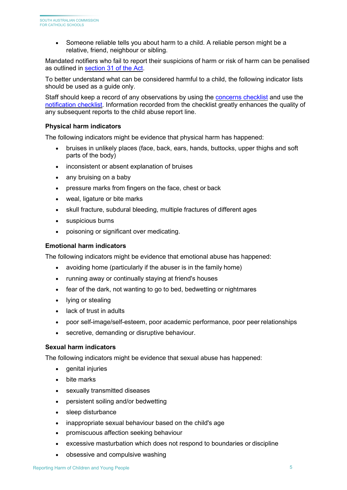• Someone reliable tells you about harm to a child. A reliable person might be a relative, friend, neighbour or sibling.

Mandated notifiers who fail to report their suspicions of harm or risk of harm can be penalised as outlined in [section 31 of the Act.](https://www.legislation.sa.gov.au/LZ/C/A/CHILDREN%20AND%20YOUNG%20PEOPLE%20(SAFETY)%20ACT%202017/CURRENT/2017.25.AUTH.PDF#page%3D26)

To better understand what can be considered harmful to a child, the following indicator lists should be used as a guide only.

Staff should keep a record of any observations by using the [concerns checklist](https://www.education.sa.gov.au/sites/default/files/concerns-checklist-ran-ec.pdf?acsf_files_redirect) and use the [notification checklist.](https://www.childprotection.sa.gov.au/__data/assets/pdf_file/0013/107032/notification-checklist.pdf) Information recorded from the checklist greatly enhances the quality of any subsequent reports to the child abuse report line.

#### **Physical harm indicators**

The following indicators might be evidence that physical harm has happened:

- bruises in unlikely places (face, back, ears, hands, buttocks, upper thighs and soft parts of the body)
- inconsistent or absent explanation of bruises
- any bruising on a baby
- pressure marks from fingers on the face, chest or back
- weal, ligature or bite marks
- skull fracture, subdural bleeding, multiple fractures of different ages
- suspicious burns
- poisoning or significant over medicating.

#### **Emotional harm indicators**

The following indicators might be evidence that emotional abuse has happened:

- avoiding home (particularly if the abuser is in the family home)
- running away or continually staying at friend's houses
- fear of the dark, not wanting to go to bed, bedwetting or nightmares
- lying or stealing
- lack of trust in adults
- poor self-image/self-esteem, poor academic performance, poor peer relationships
- secretive, demanding or disruptive behaviour.

#### **Sexual harm indicators**

The following indicators might be evidence that sexual abuse has happened:

- genital injuries
- bite marks
- sexually transmitted diseases
- persistent soiling and/or bedwetting
- sleep disturbance
- inappropriate sexual behaviour based on the child's age
- promiscuous affection seeking behaviour
- excessive masturbation which does not respond to boundaries or discipline
- obsessive and compulsive washing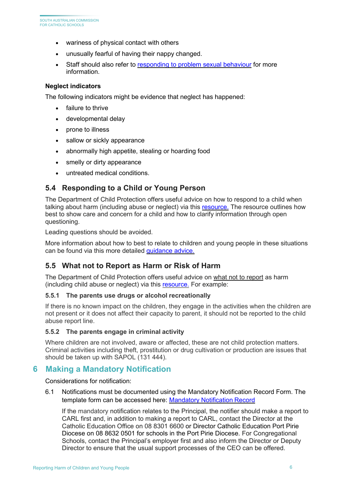- wariness of physical contact with others
- unusually fearful of having their nappy changed.
- Staff should also refer to [responding to problem sexual behaviour](https://online.cesa.catholic.edu.au/docushare/dsweb/Get/Document-14368/2019%2BResponding%2Bto%2BProblem%2BSexual%2BBehaviour%2Bguideline_minor%2Bedit%2BFINAL%2Bhigh%2Bresolution.pdf) for more information.

#### **Neglect indicators**

The following indicators might be evidence that neglect has happened:

- failure to thrive
- developmental delay
- prone to illness
- sallow or sickly appearance
- abnormally high appetite, stealing or hoarding food
- smelly or dirty appearance
- untreated medical conditions.

## <span id="page-5-0"></span>**5.4 Responding to a Child or Young Person**

The Department of Child Protection offers useful advice on how to respond to a child when talking about harm (including abuse or neglect) via this [resource.](https://www.childprotection.sa.gov.au/reporting-child-abuse/responding-child-about-abuse-or-neglect) The resource outlines how best to show care and concern for a child and how to clarify information through open questioning.

Leading questions should be avoided.

More information about how to best to relate to children and young people in these situations can be found via this more detailed [guidance advice.](https://www.childprotection.sa.gov.au/reporting-child-abuse/responding-child-about-abuse-or-neglect)

## <span id="page-5-1"></span>**5.5 What not to Report as Harm or Risk of Harm**

The Department of Child Protection offers useful advice on what not to report as harm (including child abuse or neglect) via this [resource.](https://www.childprotection.sa.gov.au/reporting-child-abuse/what-not-report-child-abuse-or-neglect) For example:

#### **5.5.1 The parents use drugs or alcohol recreationally**

If there is no known impact on the children, they engage in the activities when the children are not present or it does not affect their capacity to parent, it should not be reported to the child abuse report line.

#### **5.5.2 The parents engage in criminal activity**

Where children are not involved, aware or affected, these are not child protection matters. Criminal activities including theft, prostitution or drug cultivation or production are issues that should be taken up with SAPOL (131 444).

## <span id="page-5-2"></span>**6 Making a Mandatory Notification**

Considerations for notification:

6.1 Notifications must be documented using the Mandatory Notification Record Form. The template form can be accessed here: [Mandatory Notification](https://online.cesa.catholic.edu.au/docushare/dsweb/View/Collection-7201) Record

If the mandatory notification relates to the Principal, the notifier should make a report to CARL first and, in addition to making a report to CARL, contact the Director at the Catholic Education Office on 08 8301 6600 or Director Catholic Education Port Pirie Diocese on 08 8632 0501 for schools in the Port Pirie Diocese. For Congregational Schools, contact the Principal's employer first and also inform the Director or Deputy Director to ensure that the usual support processes of the CEO can be offered.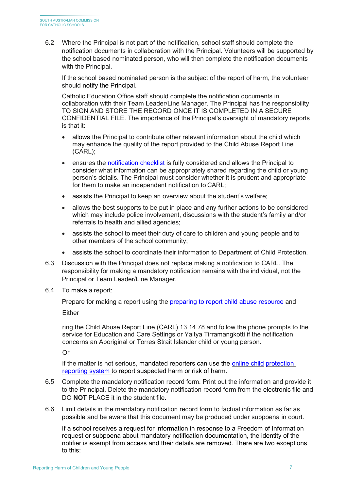6.2 Where the Principal is not part of the notification, school staff should complete the notification documents in collaboration with the Principal. Volunteers will be supported by the school based nominated person, who will then complete the notification documents with the Principal.

If the school based nominated person is the subject of the report of harm, the volunteer should notify the Principal.

Catholic Education Office staff should complete the notification documents in collaboration with their Team Leader/Line Manager. The Principal has the responsibility TO SIGN AND STORE THE RECORD ONCE IT IS COMPLETED IN A SECURE CONFIDENTIAL FILE. The importance of the Principal's oversight of mandatory reports is that it:

- allows the Principal to contribute other relevant information about the child which may enhance the quality of the report provided to the Child Abuse Report Line (CARL);
- ensures the [notification checklist](https://www.childprotection.sa.gov.au/__data/assets/pdf_file/0013/107032/notification-checklist.pdf) is fully considered and allows the Principal to consider what information can be appropriately shared regarding the child or young person's details. The Principal must consider whether it is prudent and appropriate for them to make an independent notification to CARL;
- assists the Principal to keep an overview about the student's welfare;
- allows the best supports to be put in place and any further actions to be considered which may include police involvement, discussions with the student's family and/or referrals to health and allied agencies;
- assists the school to meet their duty of care to children and young people and to other members of the school community;
- assists the school to coordinate their information to Department of Child Protection.
- 6.3 Discussion with the Principal does not replace making a notification to CARL. The responsibility for making a mandatory notification remains with the individual, not the Principal or Team Leader/Line Manager.
- 6.4 To make a report:

Prepare for making a report using the [preparing to report child abuse resource](https://www.childprotection.sa.gov.au/reporting-child-abuse/preparing-report-child-abuse) and Either

ring the Child Abuse Report Line (CARL) 13 14 78 and follow the phone prompts to the service for Education and Care Settings or Yaitya Tirramangkotti if the notification concerns an Aboriginal or Torres Strait Islander child or young person.

Or

if the matter is not serious, [mandated reporters c](https://edi.sa.edu.au/supporting-children/child-protection/reporting-abuse-or-neglect/mandated-reporters)an use the [online child](https://www.childprotection.sa.gov.au/__data/assets/pdf_file/0004/107419/online-child-abuse-reporting-system-instructions.pdf) [protection](https://www.childprotection.sa.gov.au/__data/assets/pdf_file/0004/107419/online-child-abuse-reporting-system-instructions.pdf)  [reporting system t](https://www.childprotection.sa.gov.au/__data/assets/pdf_file/0004/107419/online-child-abuse-reporting-system-instructions.pdf)o report suspected harm or risk of harm.

- 6.5 Complete the mandatory notification record form. Print out the information and provide it to the Principal. Delete the mandatory notification record form from the electronic file and DO **NOT** PLACE it in the student file.
- 6.6 Limit details in the mandatory notification record form to factual information as far as possible and be aware that this document may be produced under subpoena in court.

If a school receives a request for information in response to a Freedom of Information request or subpoena about mandatory notification documentation, the identity of the notifier is exempt from access and their details are removed. There are two exceptions to this: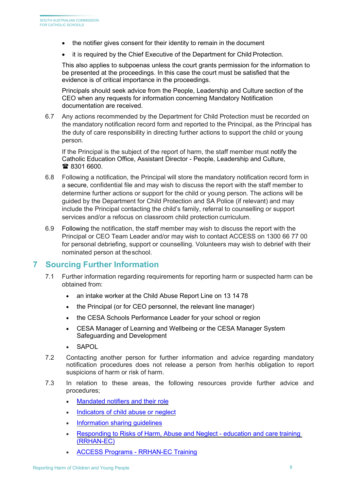- the notifier gives consent for their identity to remain in the document
- it is required by the Chief Executive of the Department for Child Protection.

This also applies to subpoenas unless the court grants permission for the information to be presented at the proceedings. In this case the court must be satisfied that the evidence is of critical importance in the proceedings.

Principals should seek advice from the People, Leadership and Culture section of the CEO when any requests for information concerning Mandatory Notification documentation are received.

6.7 Any actions recommended by the Department for Child Protection must be recorded on the mandatory notification record form and reported to the Principal, as the Principal has the duty of care responsibility in directing further actions to support the child or young person.

If the Principal is the subject of the report of harm, the staff member must notify the Catholic Education Office, Assistant Director - People, Leadership and Culture, ■ 8301 6600.

- 6.8 Following a notification, the Principal will store the mandatory notification record form in a secure, confidential file and may wish to discuss the report with the staff member to determine further actions or support for the child or young person. The actions will be guided by the Department for Child Protection and SA Police (if relevant) and may include the Principal contacting the child's family, referral to counselling or support services and/or a refocus on classroom child protection curriculum.
- 6.9 Following the notification, the staff member may wish to discuss the report with the Principal or CEO Team Leader and/or may wish to contact ACCESS on 1300 66 77 00 for personal debriefing, support or counselling. Volunteers may wish to debrief with their nominated person at theschool.

## <span id="page-7-0"></span>**7 Sourcing Further Information**

- 7.1 Further information regarding requirements for reporting harm or suspected harm can be obtained from:
	- an intake worker at the Child Abuse Report Line on 13 14 78
	- the Principal (or for CEO personnel, the relevant line manager)
	- the CESA Schools Performance Leader for your school or region
	- CESA Manager of Learning and Wellbeing or the CESA Manager System Safeguarding and Development
	- **SAPOL**
- 7.2 Contacting another person for further information and advice regarding mandatory notification procedures does not release a person from her/his obligation to report suspicions of harm or risk of harm.
- 7.3 In relation to these areas, the following resources provide further advice and procedures;
	- [Mandated notifiers and their](https://www.childprotection.sa.gov.au/reporting-child-abuse/mandated-notifiers-and-their-role) role
	- [Indicators of child abuse or neglect](https://www.childprotection.sa.gov.au/reporting-child-abuse/indicators-abuse-or-neglect)
	- [Information sharing](https://www.childprotection.sa.gov.au/child-protection-initiatives/information-sharing-guidelines) guidelines
	- [Responding to Risks of Harm, Abuse and Neglect -](https://www.education.sa.gov.au/working-us/ran-ec-training) education and care training (RRHAN-EC)
	- [ACCESS Programs -](https://accesssa.com.au/training/training-overview/) RRHAN-EC Training